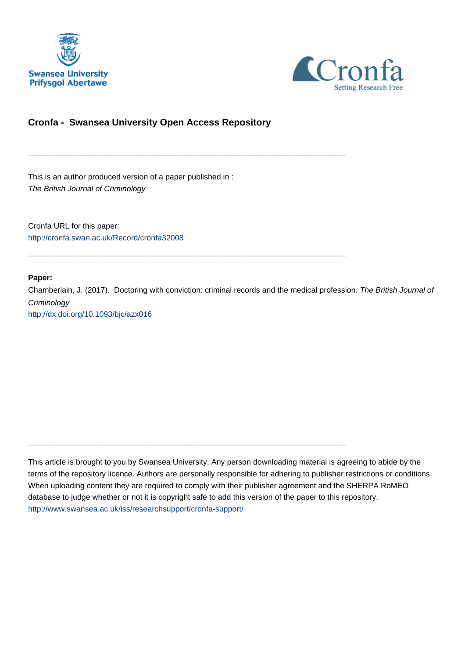



# **Cronfa - Swansea University Open Access Repository**

\_\_\_\_\_\_\_\_\_\_\_\_\_\_\_\_\_\_\_\_\_\_\_\_\_\_\_\_\_\_\_\_\_\_\_\_\_\_\_\_\_\_\_\_\_\_\_\_\_\_\_\_\_\_\_\_\_\_\_\_\_

\_\_\_\_\_\_\_\_\_\_\_\_\_\_\_\_\_\_\_\_\_\_\_\_\_\_\_\_\_\_\_\_\_\_\_\_\_\_\_\_\_\_\_\_\_\_\_\_\_\_\_\_\_\_\_\_\_\_\_\_\_

 $\_$  , and the set of the set of the set of the set of the set of the set of the set of the set of the set of the set of the set of the set of the set of the set of the set of the set of the set of the set of the set of th

This is an author produced version of a paper published in : The British Journal of Criminology

Cronfa URL for this paper: <http://cronfa.swan.ac.uk/Record/cronfa32008>

#### **Paper:**

Chamberlain, J. (2017). Doctoring with conviction: criminal records and the medical profession. The British Journal of **Criminology** [http://dx.doi.org/10.1093/bjc/azx016](http://dx.doi.org/10.1093/bjc/azx016 ) 

This article is brought to you by Swansea University. Any person downloading material is agreeing to abide by the terms of the repository licence. Authors are personally responsible for adhering to publisher restrictions or conditions. When uploading content they are required to comply with their publisher agreement and the SHERPA RoMEO database to judge whether or not it is copyright safe to add this version of the paper to this repository. [http://www.swansea.ac.uk/iss/researchsupport/cronfa-support/](http://www.swansea.ac.uk/iss/researchsupport/cronfa-support/ )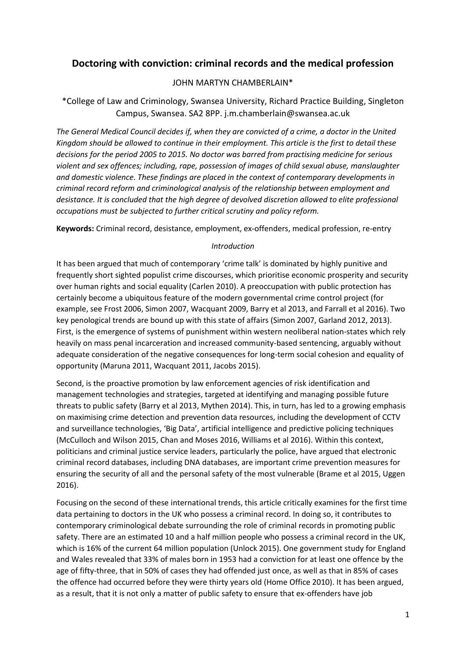# **Doctoring with conviction: criminal records and the medical profession**

### JOHN MARTYN CHAMBERLAIN\*

\*College of Law and Criminology, Swansea University, Richard Practice Building, Singleton Campus, Swansea. SA2 8PP. j.m.chamberlain@swansea.ac.uk

*The General Medical Council decides if, when they are convicted of a crime, a doctor in the United Kingdom should be allowed to continue in their employment. This article is the first to detail these decisions for the period 2005 to 2015. No doctor was barred from practising medicine for serious violent and sex offences; including, rape, possession of images of child sexual abuse, manslaughter and domestic violence. These findings are placed in the context of contemporary developments in criminal record reform and criminological analysis of the relationship between employment and desistance. It is concluded that the high degree of devolved discretion allowed to elite professional occupations must be subjected to further critical scrutiny and policy reform.* 

**Keywords:** Criminal record, desistance, employment, ex-offenders, medical profession, re-entry

### *Introduction*

It has been argued that much of contemporary 'crime talk' is dominated by highly punitive and frequently short sighted populist crime discourses, which prioritise economic prosperity and security over human rights and social equality (Carlen 2010). A preoccupation with public protection has certainly become a ubiquitous feature of the modern governmental crime control project (for example, see Frost 2006, Simon 2007, Wacquant 2009, Barry et al 2013, and Farrall et al 2016). Two key penological trends are bound up with this state of affairs (Simon 2007, Garland 2012, 2013). First, is the emergence of systems of punishment within western neoliberal nation-states which rely heavily on mass penal incarceration and increased community-based sentencing, arguably without adequate consideration of the negative consequences for long-term social cohesion and equality of opportunity (Maruna 2011, Wacquant 2011, Jacobs 2015).

Second, is the proactive promotion by law enforcement agencies of risk identification and management technologies and strategies, targeted at identifying and managing possible future threats to public safety (Barry et al 2013, Mythen 2014). This, in turn, has led to a growing emphasis on maximising crime detection and prevention data resources, including the development of CCTV and surveillance technologies, 'Big Data', artificial intelligence and predictive policing techniques (McCulloch and Wilson 2015, Chan and Moses 2016, Williams et al 2016). Within this context, politicians and criminal justice service leaders, particularly the police, have argued that electronic criminal record databases, including DNA databases, are important crime prevention measures for ensuring the security of all and the personal safety of the most vulnerable (Brame et al 2015, Uggen 2016).

Focusing on the second of these international trends, this article critically examines for the first time data pertaining to doctors in the UK who possess a criminal record. In doing so, it contributes to contemporary criminological debate surrounding the role of criminal records in promoting public safety. There are an estimated 10 and a half million people who possess a criminal record in the UK, which is 16% of the current 64 million population (Unlock 2015). One government study for England and Wales revealed that 33% of males born in 1953 had a conviction for at least one offence by the age of fifty-three, that in 50% of cases they had offended just once, as well as that in 85% of cases the offence had occurred before they were thirty years old (Home Office 2010). It has been argued, as a result, that it is not only a matter of public safety to ensure that ex-offenders have job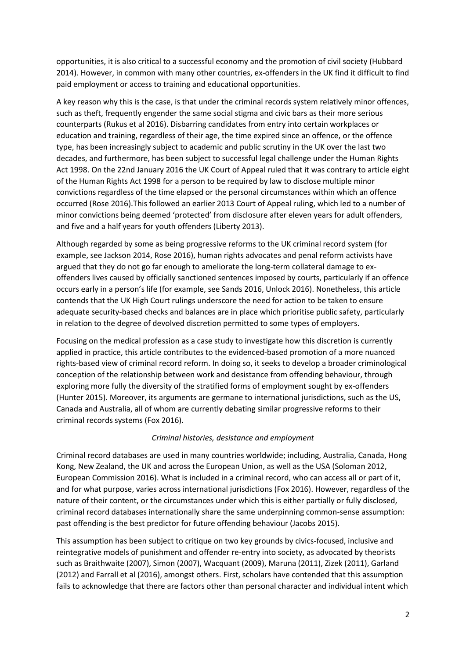opportunities, it is also critical to a successful economy and the promotion of civil society (Hubbard 2014). However, in common with many other countries, ex-offenders in the UK find it difficult to find paid employment or access to training and educational opportunities.

A key reason why this is the case, is that under the criminal records system relatively minor offences, such as theft, frequently engender the same social stigma and civic bars as their more serious counterparts (Rukus et al 2016). Disbarring candidates from entry into certain workplaces or education and training, regardless of their age, the time expired since an offence, or the offence type, has been increasingly subject to academic and public scrutiny in the UK over the last two decades, and furthermore, has been subject to successful legal challenge under the Human Rights Act 1998. On the 22nd January 2016 the UK Court of Appeal ruled that it was contrary to article eight of the Human Rights Act 1998 for a person to be required by law to disclose multiple minor convictions regardless of the time elapsed or the personal circumstances within which an offence occurred (Rose 2016).This followed an earlier 2013 Court of Appeal ruling, which led to a number of minor convictions being deemed 'protected' from disclosure after eleven years for adult offenders, and five and a half years for youth offenders (Liberty 2013).

Although regarded by some as being progressive reforms to the UK criminal record system (for example, see Jackson 2014, Rose 2016), human rights advocates and penal reform activists have argued that they do not go far enough to ameliorate the long-term collateral damage to exoffenders lives caused by officially sanctioned sentences imposed by courts, particularly if an offence occurs early in a person's life (for example, see Sands 2016, Unlock 2016). Nonetheless, this article contends that the UK High Court rulings underscore the need for action to be taken to ensure adequate security-based checks and balances are in place which prioritise public safety, particularly in relation to the degree of devolved discretion permitted to some types of employers.

Focusing on the medical profession as a case study to investigate how this discretion is currently applied in practice, this article contributes to the evidenced-based promotion of a more nuanced rights-based view of criminal record reform. In doing so, it seeks to develop a broader criminological conception of the relationship between work and desistance from offending behaviour, through exploring more fully the diversity of the stratified forms of employment sought by ex-offenders (Hunter 2015). Moreover, its arguments are germane to international jurisdictions, such as the US, Canada and Australia, all of whom are currently debating similar progressive reforms to their criminal records systems (Fox 2016).

### *Criminal histories, desistance and employment*

Criminal record databases are used in many countries worldwide; including, Australia, Canada, Hong Kong, New Zealand, the UK and across the European Union, as well as the USA (Soloman 2012, European Commission 2016). What is included in a criminal record, who can access all or part of it, and for what purpose, varies across international jurisdictions (Fox 2016). However, regardless of the nature of their content, or the circumstances under which this is either partially or fully disclosed, criminal record databases internationally share the same underpinning common-sense assumption: past offending is the best predictor for future offending behaviour (Jacobs 2015).

This assumption has been subject to critique on two key grounds by civics-focused, inclusive and reintegrative models of punishment and offender re-entry into society, as advocated by theorists such as Braithwaite (2007), Simon (2007), Wacquant (2009), Maruna (2011), Zizek (2011), Garland (2012) and Farrall et al (2016), amongst others. First, scholars have contended that this assumption fails to acknowledge that there are factors other than personal character and individual intent which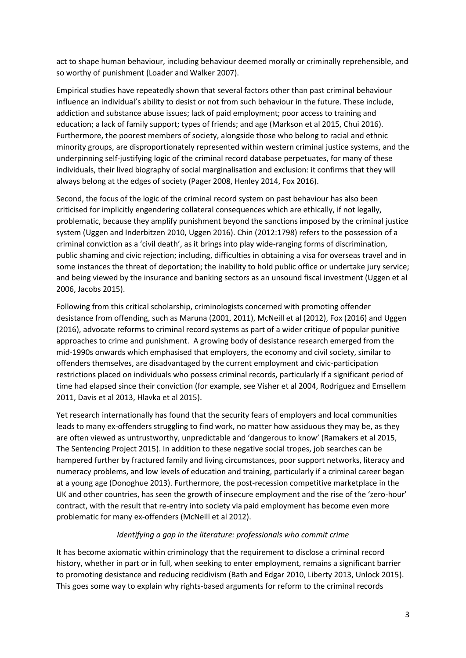act to shape human behaviour, including behaviour deemed morally or criminally reprehensible, and so worthy of punishment (Loader and Walker 2007).

Empirical studies have repeatedly shown that several factors other than past criminal behaviour influence an individual's ability to desist or not from such behaviour in the future. These include, addiction and substance abuse issues; lack of paid employment; poor access to training and education; a lack of family support; types of friends; and age (Markson et al 2015, Chui 2016). Furthermore, the poorest members of society, alongside those who belong to racial and ethnic minority groups, are disproportionately represented within western criminal justice systems, and the underpinning self-justifying logic of the criminal record database perpetuates, for many of these individuals, their lived biography of social marginalisation and exclusion: it confirms that they will always belong at the edges of society (Pager 2008, Henley 2014, Fox 2016).

Second, the focus of the logic of the criminal record system on past behaviour has also been criticised for implicitly engendering collateral consequences which are ethically, if not legally, problematic, because they amplify punishment beyond the sanctions imposed by the criminal justice system (Uggen and Inderbitzen 2010, Uggen 2016). Chin (2012:1798) refers to the possession of a criminal conviction as a 'civil death', as it brings into play wide-ranging forms of discrimination, public shaming and civic rejection; including, difficulties in obtaining a visa for overseas travel and in some instances the threat of deportation; the inability to hold public office or undertake jury service; and being viewed by the insurance and banking sectors as an unsound fiscal investment (Uggen et al 2006, Jacobs 2015).

Following from this critical scholarship, criminologists concerned with promoting offender desistance from offending, such as Maruna (2001, 2011), McNeill et al (2012), Fox (2016) and Uggen (2016), advocate reforms to criminal record systems as part of a wider critique of popular punitive approaches to crime and punishment. A growing body of desistance research emerged from the mid-1990s onwards which emphasised that employers, the economy and civil society, similar to offenders themselves, are disadvantaged by the current employment and civic-participation restrictions placed on individuals who possess criminal records, particularly if a significant period of time had elapsed since their conviction (for example, see Visher et al 2004, Rodriguez and Emsellem 2011, Davis et al 2013, Hlavka et al 2015).

Yet research internationally has found that the security fears of employers and local communities leads to many ex-offenders struggling to find work, no matter how assiduous they may be, as they are often viewed as untrustworthy, unpredictable and 'dangerous to know' (Ramakers et al 2015, The Sentencing Project 2015). In addition to these negative social tropes, job searches can be hampered further by fractured family and living circumstances, poor support networks, literacy and numeracy problems, and low levels of education and training, particularly if a criminal career began at a young age (Donoghue 2013). Furthermore, the post-recession competitive marketplace in the UK and other countries, has seen the growth of insecure employment and the rise of the 'zero-hour' contract, with the result that re-entry into society via paid employment has become even more problematic for many ex-offenders (McNeill et al 2012).

### *Identifying a gap in the literature: professionals who commit crime*

It has become axiomatic within criminology that the requirement to disclose a criminal record history, whether in part or in full, when seeking to enter employment, remains a significant barrier to promoting desistance and reducing recidivism (Bath and Edgar 2010, Liberty 2013, Unlock 2015). This goes some way to explain why rights-based arguments for reform to the criminal records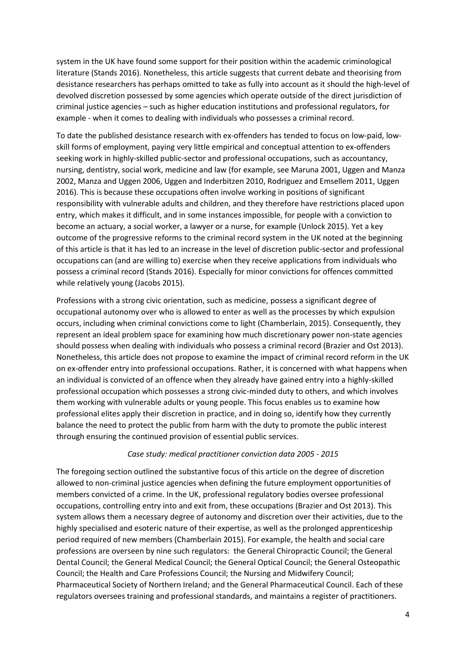system in the UK have found some support for their position within the academic criminological literature (Stands 2016). Nonetheless, this article suggests that current debate and theorising from desistance researchers has perhaps omitted to take as fully into account as it should the high-level of devolved discretion possessed by some agencies which operate outside of the direct jurisdiction of criminal justice agencies – such as higher education institutions and professional regulators, for example - when it comes to dealing with individuals who possesses a criminal record.

To date the published desistance research with ex-offenders has tended to focus on low-paid, lowskill forms of employment, paying very little empirical and conceptual attention to ex-offenders seeking work in highly-skilled public-sector and professional occupations, such as accountancy, nursing, dentistry, social work, medicine and law (for example, see Maruna 2001, Uggen and Manza 2002, Manza and Uggen 2006, Uggen and Inderbitzen 2010, Rodriguez and Emsellem 2011, Uggen 2016). This is because these occupations often involve working in positions of significant responsibility with vulnerable adults and children, and they therefore have restrictions placed upon entry, which makes it difficult, and in some instances impossible, for people with a conviction to become an actuary, a social worker, a lawyer or a nurse, for example (Unlock 2015). Yet a key outcome of the progressive reforms to the criminal record system in the UK noted at the beginning of this article is that it has led to an increase in the level of discretion public-sector and professional occupations can (and are willing to) exercise when they receive applications from individuals who possess a criminal record (Stands 2016). Especially for minor convictions for offences committed while relatively young (Jacobs 2015).

Professions with a strong civic orientation, such as medicine, possess a significant degree of occupational autonomy over who is allowed to enter as well as the processes by which expulsion occurs, including when criminal convictions come to light (Chamberlain, 2015). Consequently, they represent an ideal problem space for examining how much discretionary power non-state agencies should possess when dealing with individuals who possess a criminal record (Brazier and Ost 2013). Nonetheless, this article does not propose to examine the impact of criminal record reform in the UK on ex-offender entry into professional occupations. Rather, it is concerned with what happens when an individual is convicted of an offence when they already have gained entry into a highly-skilled professional occupation which possesses a strong civic-minded duty to others, and which involves them working with vulnerable adults or young people. This focus enables us to examine how professional elites apply their discretion in practice, and in doing so, identify how they currently balance the need to protect the public from harm with the duty to promote the public interest through ensuring the continued provision of essential public services.

### *Case study: medical practitioner conviction data 2005 - 2015*

The foregoing section outlined the substantive focus of this article on the degree of discretion allowed to non-criminal justice agencies when defining the future employment opportunities of members convicted of a crime. In the UK, professional regulatory bodies oversee professional occupations, controlling entry into and exit from, these occupations (Brazier and Ost 2013). This system allows them a necessary degree of autonomy and discretion over their activities, due to the highly specialised and esoteric nature of their expertise, as well as the prolonged apprenticeship period required of new members (Chamberlain 2015). For example, the health and social care professions are overseen by nine such regulators: the General Chiropractic Council; the General Dental Council; the General Medical Council; the General Optical Council; the General Osteopathic Council; the Health and Care Professions Council; the Nursing and Midwifery Council; Pharmaceutical Society of Northern Ireland; and the General Pharmaceutical Council. Each of these regulators oversees training and professional standards, and maintains a register of practitioners.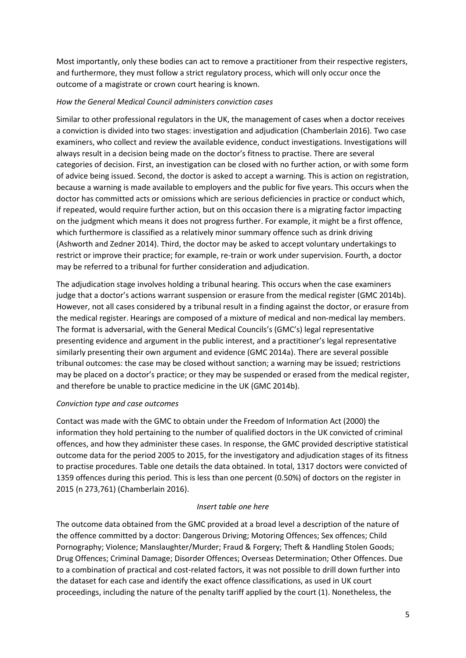Most importantly, only these bodies can act to remove a practitioner from their respective registers, and furthermore, they must follow a strict regulatory process, which will only occur once the outcome of a magistrate or crown court hearing is known.

### *How the General Medical Council administers conviction cases*

Similar to other professional regulators in the UK, the management of cases when a doctor receives a conviction is divided into two stages: investigation and adjudication (Chamberlain 2016). Two case examiners, who collect and review the available evidence, conduct investigations. Investigations will always result in a decision being made on the doctor's fitness to practise. There are several categories of decision. First, an investigation can be closed with no further action, or with some form of advice being issued. Second, the doctor is asked to accept a warning. This is action on registration, because a warning is made available to employers and the public for five years. This occurs when the doctor has committed acts or omissions which are serious deficiencies in practice or conduct which, if repeated, would require further action, but on this occasion there is a migrating factor impacting on the judgment which means it does not progress further. For example, it might be a first offence, which furthermore is classified as a relatively minor summary offence such as drink driving (Ashworth and Zedner 2014). Third, the doctor may be asked to accept voluntary undertakings to restrict or improve their practice; for example, re-train or work under supervision. Fourth, a doctor may be referred to a tribunal for further consideration and adjudication.

The adjudication stage involves holding a tribunal hearing. This occurs when the case examiners judge that a doctor's actions warrant suspension or erasure from the medical register (GMC 2014b). However, not all cases considered by a tribunal result in a finding against the doctor, or erasure from the medical register. Hearings are composed of a mixture of medical and non-medical lay members. The format is adversarial, with the General Medical Councils's (GMC's) legal representative presenting evidence and argument in the public interest, and a practitioner's legal representative similarly presenting their own argument and evidence (GMC 2014a). There are several possible tribunal outcomes: the case may be closed without sanction; a warning may be issued; restrictions may be placed on a doctor's practice; or they may be suspended or erased from the medical register, and therefore be unable to practice medicine in the UK (GMC 2014b).

### *Conviction type and case outcomes*

Contact was made with the GMC to obtain under the Freedom of Information Act (2000) the information they hold pertaining to the number of qualified doctors in the UK convicted of criminal offences, and how they administer these cases. In response, the GMC provided descriptive statistical outcome data for the period 2005 to 2015, for the investigatory and adjudication stages of its fitness to practise procedures. Table one details the data obtained. In total, 1317 doctors were convicted of 1359 offences during this period. This is less than one percent (0.50%) of doctors on the register in 2015 (n 273,761) (Chamberlain 2016).

### *Insert table one here*

The outcome data obtained from the GMC provided at a broad level a description of the nature of the offence committed by a doctor: Dangerous Driving; Motoring Offences; Sex offences; Child Pornography; Violence; Manslaughter/Murder; Fraud & Forgery; Theft & Handling Stolen Goods; Drug Offences; Criminal Damage; Disorder Offences; Overseas Determination; Other Offences. Due to a combination of practical and cost-related factors, it was not possible to drill down further into the dataset for each case and identify the exact offence classifications, as used in UK court proceedings, including the nature of the penalty tariff applied by the court (1). Nonetheless, the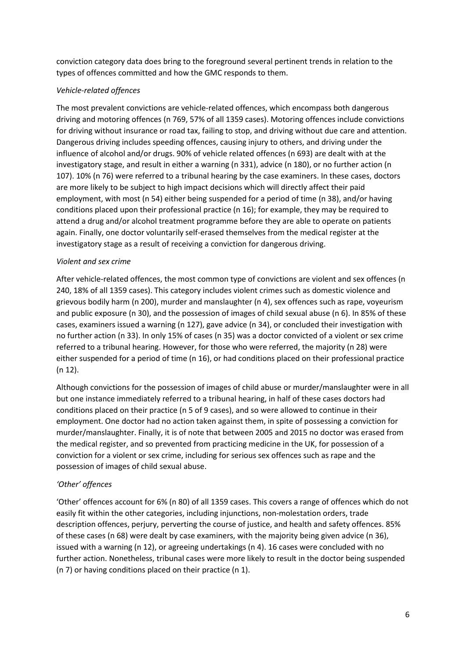conviction category data does bring to the foreground several pertinent trends in relation to the types of offences committed and how the GMC responds to them.

# *Vehicle-related offences*

The most prevalent convictions are vehicle-related offences, which encompass both dangerous driving and motoring offences (n 769, 57% of all 1359 cases). Motoring offences include convictions for driving without insurance or road tax, failing to stop, and driving without due care and attention. Dangerous driving includes speeding offences, causing injury to others, and driving under the influence of alcohol and/or drugs. 90% of vehicle related offences (n 693) are dealt with at the investigatory stage, and result in either a warning (n 331), advice (n 180), or no further action (n 107). 10% (n 76) were referred to a tribunal hearing by the case examiners. In these cases, doctors are more likely to be subject to high impact decisions which will directly affect their paid employment, with most (n 54) either being suspended for a period of time (n 38), and/or having conditions placed upon their professional practice (n 16); for example, they may be required to attend a drug and/or alcohol treatment programme before they are able to operate on patients again. Finally, one doctor voluntarily self-erased themselves from the medical register at the investigatory stage as a result of receiving a conviction for dangerous driving.

### *Violent and sex crime*

After vehicle-related offences, the most common type of convictions are violent and sex offences (n 240, 18% of all 1359 cases). This category includes violent crimes such as domestic violence and grievous bodily harm (n 200), murder and manslaughter (n 4), sex offences such as rape, voyeurism and public exposure (n 30), and the possession of images of child sexual abuse (n 6). In 85% of these cases, examiners issued a warning (n 127), gave advice (n 34), or concluded their investigation with no further action (n 33). In only 15% of cases (n 35) was a doctor convicted of a violent or sex crime referred to a tribunal hearing. However, for those who were referred, the majority (n 28) were either suspended for a period of time (n 16), or had conditions placed on their professional practice (n 12).

Although convictions for the possession of images of child abuse or murder/manslaughter were in all but one instance immediately referred to a tribunal hearing, in half of these cases doctors had conditions placed on their practice (n 5 of 9 cases), and so were allowed to continue in their employment. One doctor had no action taken against them, in spite of possessing a conviction for murder/manslaughter. Finally, it is of note that between 2005 and 2015 no doctor was erased from the medical register, and so prevented from practicing medicine in the UK, for possession of a conviction for a violent or sex crime, including for serious sex offences such as rape and the possession of images of child sexual abuse.

# *'Other' offences*

'Other' offences account for 6% (n 80) of all 1359 cases. This covers a range of offences which do not easily fit within the other categories, including injunctions, non-molestation orders, trade description offences, perjury, perverting the course of justice, and health and safety offences. 85% of these cases (n 68) were dealt by case examiners, with the majority being given advice (n 36), issued with a warning (n 12), or agreeing undertakings (n 4). 16 cases were concluded with no further action. Nonetheless, tribunal cases were more likely to result in the doctor being suspended (n 7) or having conditions placed on their practice (n 1).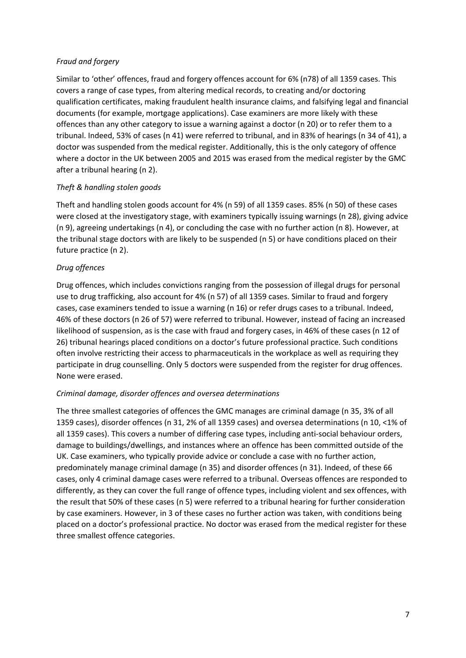### *Fraud and forgery*

Similar to 'other' offences, fraud and forgery offences account for 6% (n78) of all 1359 cases. This covers a range of case types, from altering medical records, to creating and/or doctoring qualification certificates, making fraudulent health insurance claims, and falsifying legal and financial documents (for example, mortgage applications). Case examiners are more likely with these offences than any other category to issue a warning against a doctor (n 20) or to refer them to a tribunal. Indeed, 53% of cases (n 41) were referred to tribunal, and in 83% of hearings (n 34 of 41), a doctor was suspended from the medical register. Additionally, this is the only category of offence where a doctor in the UK between 2005 and 2015 was erased from the medical register by the GMC after a tribunal hearing (n 2).

# *Theft & handling stolen goods*

Theft and handling stolen goods account for 4% (n 59) of all 1359 cases. 85% (n 50) of these cases were closed at the investigatory stage, with examiners typically issuing warnings (n 28), giving advice (n 9), agreeing undertakings (n 4), or concluding the case with no further action (n 8). However, at the tribunal stage doctors with are likely to be suspended (n 5) or have conditions placed on their future practice (n 2).

# *Drug offences*

Drug offences, which includes convictions ranging from the possession of illegal drugs for personal use to drug trafficking, also account for 4% (n 57) of all 1359 cases. Similar to fraud and forgery cases, case examiners tended to issue a warning (n 16) or refer drugs cases to a tribunal. Indeed, 46% of these doctors (n 26 of 57) were referred to tribunal. However, instead of facing an increased likelihood of suspension, as is the case with fraud and forgery cases, in 46% of these cases (n 12 of 26) tribunal hearings placed conditions on a doctor's future professional practice. Such conditions often involve restricting their access to pharmaceuticals in the workplace as well as requiring they participate in drug counselling. Only 5 doctors were suspended from the register for drug offences. None were erased.

### *Criminal damage, disorder offences and oversea determinations*

The three smallest categories of offences the GMC manages are criminal damage (n 35, 3% of all 1359 cases), disorder offences (n 31, 2% of all 1359 cases) and oversea determinations (n 10, <1% of all 1359 cases). This covers a number of differing case types, including anti-social behaviour orders, damage to buildings/dwellings, and instances where an offence has been committed outside of the UK. Case examiners, who typically provide advice or conclude a case with no further action, predominately manage criminal damage (n 35) and disorder offences (n 31). Indeed, of these 66 cases, only 4 criminal damage cases were referred to a tribunal. Overseas offences are responded to differently, as they can cover the full range of offence types, including violent and sex offences, with the result that 50% of these cases (n 5) were referred to a tribunal hearing for further consideration by case examiners. However, in 3 of these cases no further action was taken, with conditions being placed on a doctor's professional practice. No doctor was erased from the medical register for these three smallest offence categories.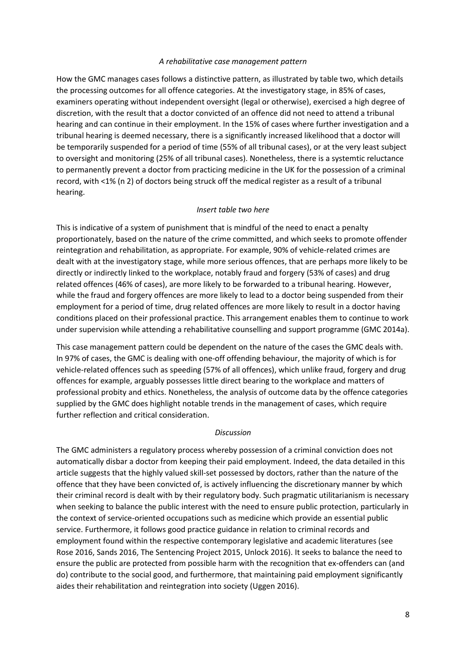#### *A rehabilitative case management pattern*

How the GMC manages cases follows a distinctive pattern, as illustrated by table two, which details the processing outcomes for all offence categories. At the investigatory stage, in 85% of cases, examiners operating without independent oversight (legal or otherwise), exercised a high degree of discretion, with the result that a doctor convicted of an offence did not need to attend a tribunal hearing and can continue in their employment. In the 15% of cases where further investigation and a tribunal hearing is deemed necessary, there is a significantly increased likelihood that a doctor will be temporarily suspended for a period of time (55% of all tribunal cases), or at the very least subject to oversight and monitoring (25% of all tribunal cases). Nonetheless, there is a systemtic reluctance to permanently prevent a doctor from practicing medicine in the UK for the possession of a criminal record, with <1% (n 2) of doctors being struck off the medical register as a result of a tribunal hearing.

### *Insert table two here*

This is indicative of a system of punishment that is mindful of the need to enact a penalty proportionately, based on the nature of the crime committed, and which seeks to promote offender reintegration and rehabilitation, as appropriate. For example, 90% of vehicle-related crimes are dealt with at the investigatory stage, while more serious offences, that are perhaps more likely to be directly or indirectly linked to the workplace, notably fraud and forgery (53% of cases) and drug related offences (46% of cases), are more likely to be forwarded to a tribunal hearing. However, while the fraud and forgery offences are more likely to lead to a doctor being suspended from their employment for a period of time, drug related offences are more likely to result in a doctor having conditions placed on their professional practice. This arrangement enables them to continue to work under supervision while attending a rehabilitative counselling and support programme (GMC 2014a).

This case management pattern could be dependent on the nature of the cases the GMC deals with. In 97% of cases, the GMC is dealing with one-off offending behaviour, the majority of which is for vehicle-related offences such as speeding (57% of all offences), which unlike fraud, forgery and drug offences for example, arguably possesses little direct bearing to the workplace and matters of professional probity and ethics. Nonetheless, the analysis of outcome data by the offence categories supplied by the GMC does highlight notable trends in the management of cases, which require further reflection and critical consideration.

#### *Discussion*

The GMC administers a regulatory process whereby possession of a criminal conviction does not automatically disbar a doctor from keeping their paid employment. Indeed, the data detailed in this article suggests that the highly valued skill-set possessed by doctors, rather than the nature of the offence that they have been convicted of, is actively influencing the discretionary manner by which their criminal record is dealt with by their regulatory body. Such pragmatic utilitarianism is necessary when seeking to balance the public interest with the need to ensure public protection, particularly in the context of service-oriented occupations such as medicine which provide an essential public service. Furthermore, it follows good practice guidance in relation to criminal records and employment found within the respective contemporary legislative and academic literatures (see Rose 2016, Sands 2016, The Sentencing Project 2015, Unlock 2016). It seeks to balance the need to ensure the public are protected from possible harm with the recognition that ex-offenders can (and do) contribute to the social good, and furthermore, that maintaining paid employment significantly aides their rehabilitation and reintegration into society (Uggen 2016).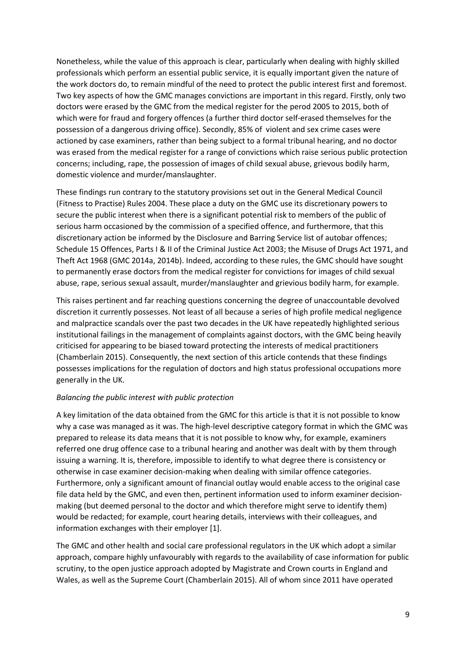Nonetheless, while the value of this approach is clear, particularly when dealing with highly skilled professionals which perform an essential public service, it is equally important given the nature of the work doctors do, to remain mindful of the need to protect the public interest first and foremost. Two key aspects of how the GMC manages convictions are important in this regard. Firstly, only two doctors were erased by the GMC from the medical register for the perod 2005 to 2015, both of which were for fraud and forgery offences (a further third doctor self-erased themselves for the possession of a dangerous driving office). Secondly, 85% of violent and sex crime cases were actioned by case examiners, rather than being subject to a formal tribunal hearing, and no doctor was erased from the medical register for a range of convictions which raise serious public protection concerns; including, rape, the possession of images of child sexual abuse, grievous bodily harm, domestic violence and murder/manslaughter.

These findings run contrary to the statutory provisions set out in the General Medical Council (Fitness to Practise) Rules 2004. These place a duty on the GMC use its discretionary powers to secure the public interest when there is a significant potential risk to members of the public of serious harm occasioned by the commission of a specified offence, and furthermore, that this discretionary action be informed by the Disclosure and Barring Service list of autobar offences; Schedule 15 Offences, Parts I & II of the Criminal Justice Act 2003; the Misuse of Drugs Act 1971, and Theft Act 1968 (GMC 2014a, 2014b). Indeed, according to these rules, the GMC should have sought to permanently erase doctors from the medical register for convictions for images of child sexual abuse, rape, serious sexual assault, murder/manslaughter and grievious bodily harm, for example.

This raises pertinent and far reaching questions concerning the degree of unaccountable devolved discretion it currently possesses. Not least of all because a series of high profile medical negligence and malpractice scandals over the past two decades in the UK have repeatedly highlighted serious institutional failings in the management of complaints against doctors, with the GMC being heavily criticised for appearing to be biased toward protecting the interests of medical practitioners (Chamberlain 2015). Consequently, the next section of this article contends that these findings possesses implications for the regulation of doctors and high status professional occupations more generally in the UK.

### *Balancing the public interest with public protection*

A key limitation of the data obtained from the GMC for this article is that it is not possible to know why a case was managed as it was. The high-level descriptive category format in which the GMC was prepared to release its data means that it is not possible to know why, for example, examiners referred one drug offence case to a tribunal hearing and another was dealt with by them through issuing a warning. It is, therefore, impossible to identify to what degree there is consistency or otherwise in case examiner decision-making when dealing with similar offence categories. Furthermore, only a significant amount of financial outlay would enable access to the original case file data held by the GMC, and even then, pertinent information used to inform examiner decisionmaking (but deemed personal to the doctor and which therefore might serve to identify them) would be redacted; for example, court hearing details, interviews with their colleagues, and information exchanges with their employer [1].

The GMC and other health and social care professional regulators in the UK which adopt a similar approach, compare highly unfavourably with regards to the availability of case information for public scrutiny, to the open justice approach adopted by Magistrate and Crown courts in England and Wales, as well as the Supreme Court (Chamberlain 2015). All of whom since 2011 have operated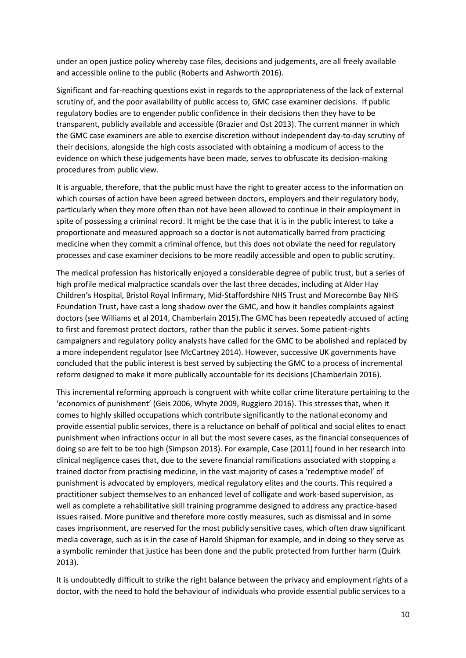under an open justice policy whereby case files, decisions and judgements, are all freely available and accessible online to the public (Roberts and Ashworth 2016).

Significant and far-reaching questions exist in regards to the appropriateness of the lack of external scrutiny of, and the poor availability of public access to, GMC case examiner decisions. If public regulatory bodies are to engender public confidence in their decisions then they have to be transparent, publicly available and accessible (Brazier and Ost 2013). The current manner in which the GMC case examiners are able to exercise discretion without independent day-to-day scrutiny of their decisions, alongside the high costs associated with obtaining a modicum of access to the evidence on which these judgements have been made, serves to obfuscate its decision-making procedures from public view.

It is arguable, therefore, that the public must have the right to greater access to the information on which courses of action have been agreed between doctors, employers and their regulatory body, particularly when they more often than not have been allowed to continue in their employment in spite of possessing a criminal record. It might be the case that it is in the public interest to take a proportionate and measured approach so a doctor is not automatically barred from practicing medicine when they commit a criminal offence, but this does not obviate the need for regulatory processes and case examiner decisions to be more readily accessible and open to public scrutiny.

The medical profession has historically enjoyed a considerable degree of public trust, but a series of high profile medical malpractice scandals over the last three decades, including at Alder Hay Children's Hospital, Bristol Royal Infirmary, Mid-Staffordshire NHS Trust and Morecombe Bay NHS Foundation Trust, have cast a long shadow over the GMC, and how it handles complaints against doctors (see Williams et al 2014, Chamberlain 2015).The GMC has been repeatedly accused of acting to first and foremost protect doctors, rather than the public it serves. Some patient-rights campaigners and regulatory policy analysts have called for the GMC to be abolished and replaced by a more independent regulator (see McCartney 2014). However, successive UK governments have concluded that the public interest is best served by subjecting the GMC to a process of incremental reform designed to make it more publically accountable for its decisions (Chamberlain 2016).

This incremental reforming approach is congruent with white collar crime literature pertaining to the 'economics of punishment' (Geis 2006, Whyte 2009, Ruggiero 2016). This stresses that, when it comes to highly skilled occupations which contribute significantly to the national economy and provide essential public services, there is a reluctance on behalf of political and social elites to enact punishment when infractions occur in all but the most severe cases, as the financial consequences of doing so are felt to be too high (Simpson 2013). For example, Case (2011) found in her research into clinical negligence cases that, due to the severe financial ramifications associated with stopping a trained doctor from practising medicine, in the vast majority of cases a 'redemptive model' of punishment is advocated by employers, medical regulatory elites and the courts. This required a practitioner subject themselves to an enhanced level of colligate and work-based supervision, as well as complete a rehabilitative skill training programme designed to address any practice-based issues raised. More punitive and therefore more costly measures, such as dismissal and in some cases imprisonment, are reserved for the most publicly sensitive cases, which often draw significant media coverage, such as is in the case of Harold Shipman for example, and in doing so they serve as a symbolic reminder that justice has been done and the public protected from further harm (Quirk 2013).

It is undoubtedly difficult to strike the right balance between the privacy and employment rights of a doctor, with the need to hold the behaviour of individuals who provide essential public services to a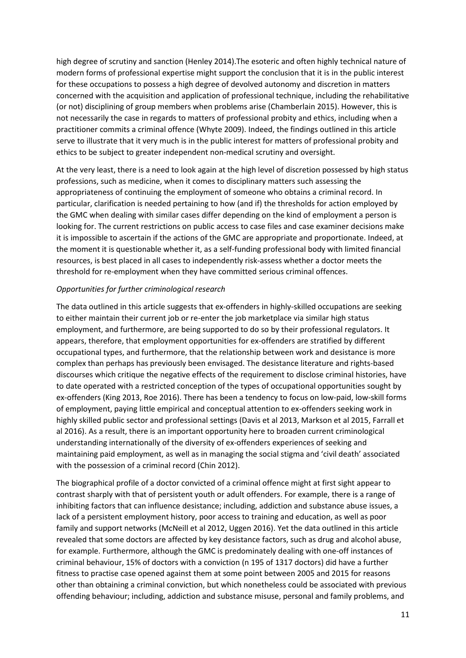high degree of scrutiny and sanction (Henley 2014).The esoteric and often highly technical nature of modern forms of professional expertise might support the conclusion that it is in the public interest for these occupations to possess a high degree of devolved autonomy and discretion in matters concerned with the acquisition and application of professional technique, including the rehabilitative (or not) disciplining of group members when problems arise (Chamberlain 2015). However, this is not necessarily the case in regards to matters of professional probity and ethics, including when a practitioner commits a criminal offence (Whyte 2009). Indeed, the findings outlined in this article serve to illustrate that it very much is in the public interest for matters of professional probity and ethics to be subject to greater independent non-medical scrutiny and oversight.

At the very least, there is a need to look again at the high level of discretion possessed by high status professions, such as medicine, when it comes to disciplinary matters such assessing the appropriateness of continuing the employment of someone who obtains a criminal record. In particular, clarification is needed pertaining to how (and if) the thresholds for action employed by the GMC when dealing with similar cases differ depending on the kind of employment a person is looking for. The current restrictions on public access to case files and case examiner decisions make it is impossible to ascertain if the actions of the GMC are appropriate and proportionate. Indeed, at the moment it is questionable whether it, as a self-funding professional body with limited financial resources, is best placed in all cases to independently risk-assess whether a doctor meets the threshold for re-employment when they have committed serious criminal offences.

### *Opportunities for further criminological research*

The data outlined in this article suggests that ex-offenders in highly-skilled occupations are seeking to either maintain their current job or re-enter the job marketplace via similar high status employment, and furthermore, are being supported to do so by their professional regulators. It appears, therefore, that employment opportunities for ex-offenders are stratified by different occupational types, and furthermore, that the relationship between work and desistance is more complex than perhaps has previously been envisaged. The desistance literature and rights-based discourses which critique the negative effects of the requirement to disclose criminal histories, have to date operated with a restricted conception of the types of occupational opportunities sought by ex-offenders (King 2013, Roe 2016). There has been a tendency to focus on low-paid, low-skill forms of employment, paying little empirical and conceptual attention to ex-offenders seeking work in highly skilled public sector and professional settings (Davis et al 2013, Markson et al 2015, Farrall et al 2016). As a result, there is an important opportunity here to broaden current criminological understanding internationally of the diversity of ex-offenders experiences of seeking and maintaining paid employment, as well as in managing the social stigma and 'civil death' associated with the possession of a criminal record (Chin 2012).

The biographical profile of a doctor convicted of a criminal offence might at first sight appear to contrast sharply with that of persistent youth or adult offenders. For example, there is a range of inhibiting factors that can influence desistance; including, addiction and substance abuse issues, a lack of a persistent employment history, poor access to training and education, as well as poor family and support networks (McNeill et al 2012, Uggen 2016). Yet the data outlined in this article revealed that some doctors are affected by key desistance factors, such as drug and alcohol abuse, for example. Furthermore, although the GMC is predominately dealing with one-off instances of criminal behaviour, 15% of doctors with a conviction (n 195 of 1317 doctors) did have a further fitness to practise case opened against them at some point between 2005 and 2015 for reasons other than obtaining a criminal conviction, but which nonetheless could be associated with previous offending behaviour; including, addiction and substance misuse, personal and family problems, and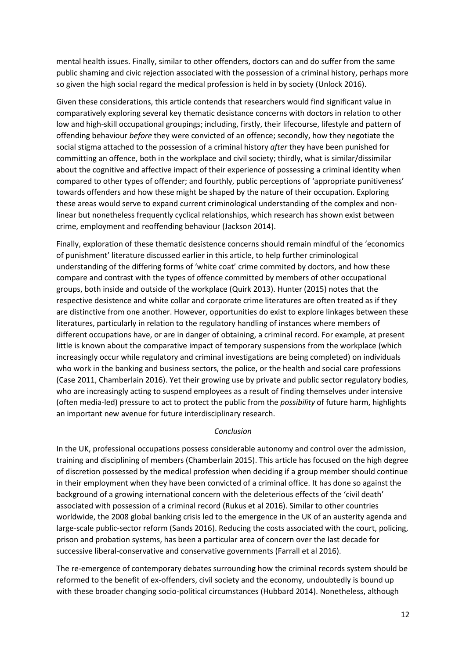mental health issues. Finally, similar to other offenders, doctors can and do suffer from the same public shaming and civic rejection associated with the possession of a criminal history, perhaps more so given the high social regard the medical profession is held in by society (Unlock 2016).

Given these considerations, this article contends that researchers would find significant value in comparatively exploring several key thematic desistance concerns with doctors in relation to other low and high-skill occupational groupings; including, firstly, their lifecourse, lifestyle and pattern of offending behaviour *before* they were convicted of an offence; secondly, how they negotiate the social stigma attached to the possession of a criminal history *after* they have been punished for committing an offence, both in the workplace and civil society; thirdly, what is similar/dissimilar about the cognitive and affective impact of their experience of possessing a criminal identity when compared to other types of offender; and fourthly, public perceptions of 'appropriate punitiveness' towards offenders and how these might be shaped by the nature of their occupation. Exploring these areas would serve to expand current criminological understanding of the complex and nonlinear but nonetheless frequently cyclical relationships, which research has shown exist between crime, employment and reoffending behaviour (Jackson 2014).

Finally, exploration of these thematic desistence concerns should remain mindful of the 'economics of punishment' literature discussed earlier in this article, to help further criminological understanding of the differing forms of 'white coat' crime commited by doctors, and how these compare and contrast with the types of offence committed by members of other occupational groups, both inside and outside of the workplace (Quirk 2013). Hunter (2015) notes that the respective desistence and white collar and corporate crime literatures are often treated as if they are distinctive from one another. However, opportunities do exist to explore linkages between these literatures, particularly in relation to the regulatory handling of instances where members of different occupations have, or are in danger of obtaining, a criminal record. For example, at present little is known about the comparative impact of temporary suspensions from the workplace (which increasingly occur while regulatory and criminal investigations are being completed) on individuals who work in the banking and business sectors, the police, or the health and social care professions (Case 2011, Chamberlain 2016). Yet their growing use by private and public sector regulatory bodies, who are increasingly acting to suspend employees as a result of finding themselves under intensive (often media-led) pressure to act to protect the public from the *possibility* of future harm, highlights an important new avenue for future interdisciplinary research.

### *Conclusion*

In the UK, professional occupations possess considerable autonomy and control over the admission, training and disciplining of members (Chamberlain 2015). This article has focused on the high degree of discretion possessed by the medical profession when deciding if a group member should continue in their employment when they have been convicted of a criminal office. It has done so against the background of a growing international concern with the deleterious effects of the 'civil death' associated with possession of a criminal record (Rukus et al 2016). Similar to other countries worldwide, the 2008 global banking crisis led to the emergence in the UK of an austerity agenda and large-scale public-sector reform (Sands 2016). Reducing the costs associated with the court, policing, prison and probation systems, has been a particular area of concern over the last decade for successive liberal-conservative and conservative governments (Farrall et al 2016).

The re-emergence of contemporary debates surrounding how the criminal records system should be reformed to the benefit of ex-offenders, civil society and the economy, undoubtedly is bound up with these broader changing socio-political circumstances (Hubbard 2014). Nonetheless, although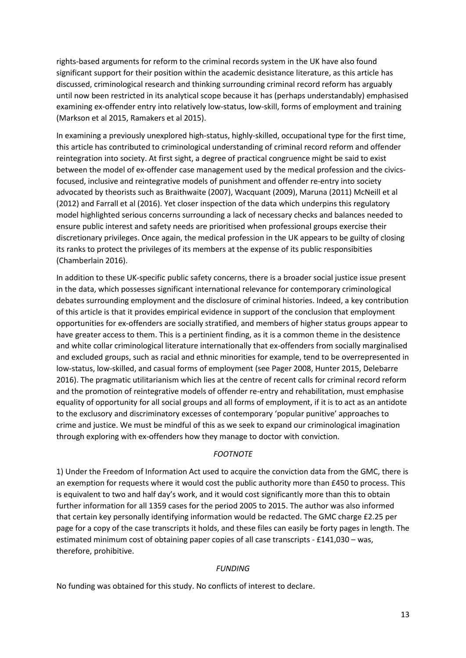rights-based arguments for reform to the criminal records system in the UK have also found significant support for their position within the academic desistance literature, as this article has discussed, criminological research and thinking surrounding criminal record reform has arguably until now been restricted in its analytical scope because it has (perhaps understandably) emphasised examining ex-offender entry into relatively low-status, low-skill, forms of employment and training (Markson et al 2015, Ramakers et al 2015).

In examining a previously unexplored high-status, highly-skilled, occupational type for the first time, this article has contributed to criminological understanding of criminal record reform and offender reintegration into society. At first sight, a degree of practical congruence might be said to exist between the model of ex-offender case management used by the medical profession and the civicsfocused, inclusive and reintegrative models of punishment and offender re-entry into society advocated by theorists such as Braithwaite (2007), Wacquant (2009), Maruna (2011) McNeill et al (2012) and Farrall et al (2016). Yet closer inspection of the data which underpins this regulatory model highlighted serious concerns surrounding a lack of necessary checks and balances needed to ensure public interest and safety needs are prioritised when professional groups exercise their discretionary privileges. Once again, the medical profession in the UK appears to be guilty of closing its ranks to protect the privileges of its members at the expense of its public responsibities (Chamberlain 2016).

In addition to these UK-specific public safety concerns, there is a broader social justice issue present in the data, which possesses significant international relevance for contemporary criminological debates surrounding employment and the disclosure of criminal histories. Indeed, a key contribution of this article is that it provides empirical evidence in support of the conclusion that employment opportunities for ex-offenders are socially stratified, and members of higher status groups appear to have greater access to them. This is a pertinient finding, as it is a common theme in the desistence and white collar criminological literature internationally that ex-offenders from socially marginalised and excluded groups, such as racial and ethnic minorities for example, tend to be overrepresented in low-status, low-skilled, and casual forms of employment (see Pager 2008, Hunter 2015, Delebarre 2016). The pragmatic utilitarianism which lies at the centre of recent calls for criminal record reform and the promotion of reintegrative models of offender re-entry and rehabilitation, must emphasise equality of opportunity for all social groups and all forms of employment, if it is to act as an antidote to the exclusory and discriminatory excesses of contemporary 'popular punitive' approaches to crime and justice. We must be mindful of this as we seek to expand our criminological imagination through exploring with ex-offenders how they manage to doctor with conviction.

### *FOOTNOTE*

1) Under the Freedom of Information Act used to acquire the conviction data from the GMC, there is an exemption for requests where it would cost the public authority more than £450 to process. This is equivalent to two and half day's work, and it would cost significantly more than this to obtain further information for all 1359 cases for the period 2005 to 2015. The author was also informed that certain key personally identifying information would be redacted. The GMC charge £2.25 per page for a copy of the case transcripts it holds, and these files can easily be forty pages in length. The estimated minimum cost of obtaining paper copies of all case transcripts - £141,030 – was, therefore, prohibitive.

### *FUNDING*

No funding was obtained for this study. No conflicts of interest to declare.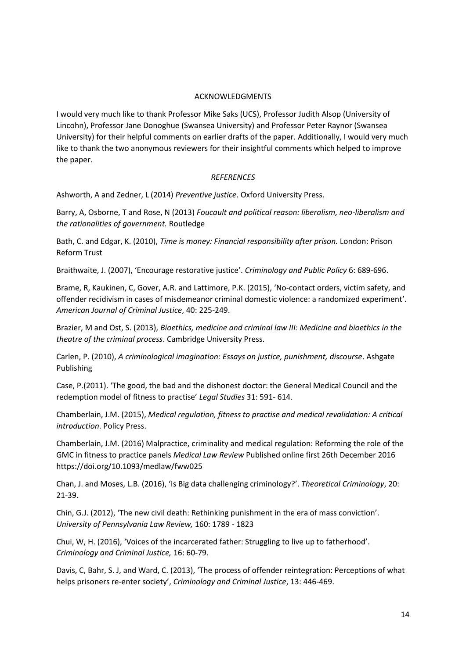#### ACKNOWLEDGMENTS

I would very much like to thank Professor Mike Saks (UCS), Professor Judith Alsop (University of Lincohn), Professor Jane Donoghue (Swansea University) and Professor Peter Raynor (Swansea University) for their helpful comments on earlier drafts of the paper. Additionally, I would very much like to thank the two anonymous reviewers for their insightful comments which helped to improve the paper.

#### *REFERENCES*

Ashworth, A and Zedner, L (2014) *Preventive justice*. Oxford University Press.

Barry, A, Osborne, T and Rose, N (2013) *Foucault and political reason: liberalism, neo-liberalism and the rationalities of government.* Routledge

Bath, C. and Edgar, K. (2010), *Time is money: Financial responsibility after prison.* London: Prison Reform Trust

Braithwaite, J. (2007), 'Encourage restorative justice'. *Criminology and Public Policy* 6: 689-696.

Brame, R, Kaukinen, C, Gover, A.R. and Lattimore, P.K. (2015), 'No-contact orders, victim safety, and offender recidivism in cases of misdemeanor criminal domestic violence: a randomized experiment'. *American Journal of Criminal Justice*, 40: 225-249.

Brazier, M and Ost, S. (2013), *Bioethics, medicine and criminal law III: Medicine and bioethics in the theatre of the criminal process*. Cambridge University Press.

Carlen, P. (2010), *A criminological imagination: Essays on justice, punishment, discourse*. Ashgate Publishing

Case, P.(2011). 'The good, the bad and the dishonest doctor: the General Medical Council and the redemption model of fitness to practise' *Legal Studies* 31: 591- 614.

Chamberlain, J.M. (2015), *Medical regulation, fitness to practise and medical revalidation: A critical introduction*. Policy Press.

Chamberlain, J.M. (2016) Malpractice, criminality and medical regulation: Reforming the role of the GMC in fitness to practice panels *Medical Law Review* Published online first 26th December 2016 https://doi.org/10.1093/medlaw/fww025

Chan, J. and Moses, L.B. (2016), 'Is Big data challenging criminology?'. *Theoretical Criminology*, 20: 21-39.

Chin, G.J. (2012), 'The new civil death: Rethinking punishment in the era of mass conviction'. *University of Pennsylvania Law Review,* 160: 1789 - 1823

Chui, W, H. (2016), 'Voices of the incarcerated father: Struggling to live up to fatherhood'. *Criminology and Criminal Justice,* 16: 60-79.

Davis, C, Bahr, S. J, and Ward, C. (2013), 'The process of offender reintegration: Perceptions of what helps prisoners re-enter society', *Criminology and Criminal Justice*, 13: 446-469.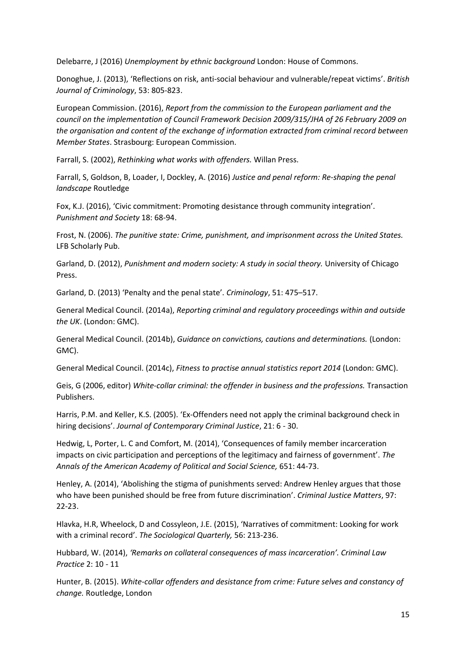Delebarre, J (2016) *Unemployment by ethnic background* London: House of Commons.

Donoghue, J. (2013), 'Reflections on risk, anti-social behaviour and vulnerable/repeat victims'. *British Journal of Criminology*, 53: 805-823.

European Commission. (2016), *Report from the commission to the European parliament and the council on the implementation of Council Framework Decision 2009/315/JHA of 26 February 2009 on the organisation and content of the exchange of information extracted from criminal record between Member States*. Strasbourg: European Commission.

Farrall, S. (2002), *Rethinking what works with offenders.* Willan Press.

Farrall, S, Goldson, B, Loader, I, Dockley, A. (2016) *Justice and penal reform: Re-shaping the penal landscape* Routledge

Fox, K.J. (2016), 'Civic commitment: Promoting desistance through community integration'. *Punishment and Society* 18: 68-94.

Frost, N. (2006). *The punitive state: Crime, punishment, and imprisonment across the United States.* LFB Scholarly Pub.

Garland, D. (2012), *Punishment and modern society: A study in social theory.* University of Chicago Press.

Garland, D. (2013) 'Penalty and the penal state'. *Criminology*, 51: 475–517.

General Medical Council. (2014a), *Reporting criminal and regulatory proceedings within and outside the UK*. (London: GMC).

General Medical Council. (2014b), *Guidance on convictions, cautions and determinations.* (London: GMC).

General Medical Council. (2014c), *Fitness to practise annual statistics report 2014* (London: GMC).

Geis, G (2006, editor) *White-collar criminal: the offender in business and the professions.* Transaction Publishers.

Harris, P.M. and Keller, K.S. (2005). 'Ex-Offenders need not apply the criminal background check in hiring decisions'. *Journal of Contemporary Criminal Justice*, 21: 6 - 30.

Hedwig, L, Porter, L. C and Comfort, M. (2014), 'Consequences of family member incarceration impacts on civic participation and perceptions of the legitimacy and fairness of government'. *The Annals of the American Academy of Political and Social Science,* 651: 44-73.

Henley, A. (2014), 'Abolishing the stigma of punishments served: Andrew Henley argues that those who have been punished should be free from future discrimination'. *Criminal Justice Matters*, 97: 22-23.

Hlavka, H.R, Wheelock, D and Cossyleon, J.E. (2015), 'Narratives of commitment: Looking for work with a criminal record'. *The Sociological Quarterly,* 56: 213-236.

Hubbard, W. (2014), *'Remarks on collateral consequences of mass incarceration'. Criminal Law Practice* 2: 10 - 11

Hunter, B. (2015). *White-collar offenders and desistance from crime: Future selves and constancy of change.* Routledge, London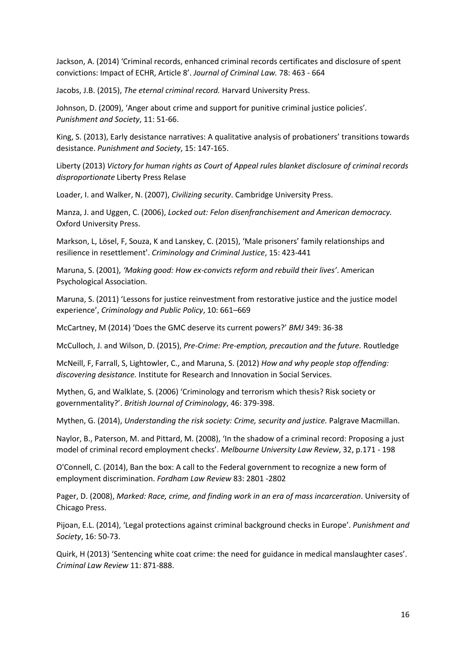Jackson, A. (2014) 'Criminal records, enhanced criminal records certificates and disclosure of spent convictions: Impact of ECHR, Article 8'. *Journal of Criminal Law.* 78: 463 - 664

Jacobs, J.B. (2015), *The eternal criminal record.* Harvard University Press.

Johnson, D. (2009), 'Anger about crime and support for punitive criminal justice policies'*. Punishment and Society*, 11: 51-66.

King, S. (2013), Early desistance narratives: A qualitative analysis of probationers' transitions towards desistance. *Punishment and Society*, 15: 147-165.

Liberty (2013) *Victory for human rights as Court of Appeal rules blanket disclosure of criminal records disproportionate* Liberty Press Relase

Loader, I. and Walker, N. (2007), *Civilizing security*. Cambridge University Press.

Manza, J. and Uggen, C. (2006), *Locked out: Felon disenfranchisement and American democracy.* Oxford University Press.

Markson, L, Lösel, F, Souza, K and Lanskey, C. (2015), 'Male prisoners' family relationships and resilience in resettlement'. *Criminology and Criminal Justice*, 15: 423-441

Maruna, S. (2001), *'Making good: How ex-convicts reform and rebuild their lives'*. American Psychological Association.

Maruna, S. (2011) 'Lessons for justice reinvestment from restorative justice and the justice model experience', *Criminology and Public Policy*, 10: 661–669

McCartney, M (2014) 'Does the GMC deserve its current powers?' *BMJ* 349: 36-38

McCulloch, J. and Wilson, D. (2015), *Pre-Crime: Pre-emption, precaution and the future.* Routledge

McNeill, F, Farrall, S, Lightowler, C., and Maruna, S. (2012) *How and why people stop offending: discovering desistance.* Institute for Research and Innovation in Social Services.

Mythen, G, and Walklate, S. (2006) 'Criminology and terrorism which thesis? Risk society or governmentality?'. *British Journal of Criminology*, 46: 379-398.

Mythen, G. (2014), *Understanding the risk society: Crime, security and justice.* Palgrave Macmillan.

Naylor, B., Paterson, M. and Pittard, M. (2008), 'In the shadow of a criminal record: Proposing a just model of criminal record employment checks'. *Melbourne University Law Review*, 32, p.171 - 198

O'Connell, C. (2014), Ban the box: A call to the Federal government to recognize a new form of employment discrimination. *Fordham Law Review* 83: 2801 -2802

Pager, D. (2008), *Marked: Race, crime, and finding work in an era of mass incarceration*. University of Chicago Press.

Pijoan, E.L. (2014), 'Legal protections against criminal background checks in Europe'. *Punishment and Society*, 16: 50-73.

Quirk, H (2013) 'Sentencing white coat crime: the need for guidance in medical manslaughter cases'. *Criminal Law Review* 11: 871-888.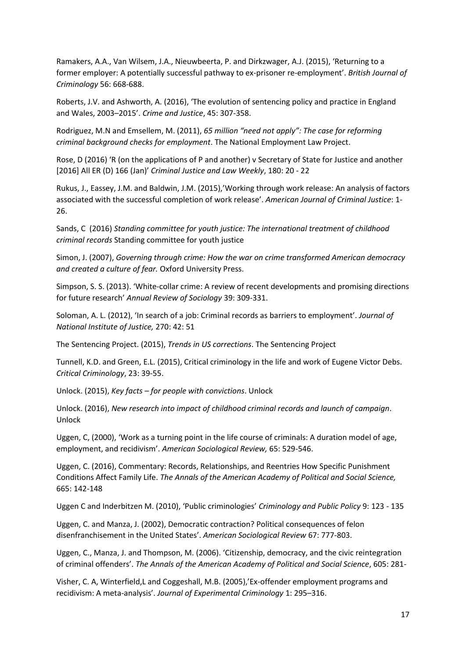Ramakers, A.A., Van Wilsem, J.A., Nieuwbeerta, P. and Dirkzwager, A.J. (2015), 'Returning to a former employer: A potentially successful pathway to ex-prisoner re-employment'. *British Journal of Criminology* 56: 668-688.

Roberts, J.V. and Ashworth, A. (2016), 'The evolution of sentencing policy and practice in England and Wales, 2003–2015'. *Crime and Justice*, 45: 307-358.

Rodriguez, M.N and Emsellem, M. (2011), *65 million "need not apply": The case for reforming criminal background checks for employment*. The National Employment Law Project.

Rose, D (2016) 'R (on the applications of P and another) v Secretary of State for Justice and another [2016] All ER (D) 166 (Jan)' *Criminal Justice and Law Weekly*, 180: 20 - 22

Rukus, J., Eassey, J.M. and Baldwin, J.M. (2015),'Working through work release: An analysis of factors associated with the successful completion of work release'. *American Journal of Criminal Justice*: 1- 26.

Sands, C (2016) *Standing committee for youth justice: The international treatment of childhood criminal records* Standing committee for youth justice

Simon, J. (2007), *Governing through crime: How the war on crime transformed American democracy and created a culture of fear.* Oxford University Press.

Simpson, S. S. (2013). 'White-collar crime: A review of recent developments and promising directions for future research' *Annual Review of Sociology* 39: 309-331.

Soloman, A. L. (2012), 'In search of a job: Criminal records as barriers to employment'. *Journal of National Institute of Justice,* 270: 42: 51

The Sentencing Project. (2015), *Trends in US corrections*. The Sentencing Project

Tunnell, K.D. and Green, E.L. (2015), Critical criminology in the life and work of Eugene Victor Debs. *Critical Criminology*, 23: 39-55.

Unlock. (2015), *Key facts – for people with convictions*. Unlock

Unlock. (2016), *New research into impact of childhood criminal records and launch of campaign*. Unlock

Uggen, C, (2000), 'Work as a turning point in the life course of criminals: A duration model of age, employment, and recidivism'. *American Sociological Review,* 65: 529-546.

Uggen, C. (2016), Commentary: Records, Relationships, and Reentries How Specific Punishment Conditions Affect Family Life. *The Annals of the American Academy of Political and Social Science,* 665: 142-148

Uggen C and Inderbitzen M. (2010), 'Public criminologies' *Criminology and Public Policy* 9: 123 - 135

Uggen, C. and Manza, J. (2002), Democratic contraction? Political consequences of felon disenfranchisement in the United States'. *American Sociological Review* 67: 777-803.

Uggen, C., Manza, J. and Thompson, M. (2006). 'Citizenship, democracy, and the civic reintegration of criminal offenders'. *The Annals of the American Academy of Political and Social Science*, 605: 281-

Visher, C. A, Winterfield,L and Coggeshall, M.B. (2005),'Ex-offender employment programs and recidivism: A meta-analysis'. *Journal of Experimental Criminology* 1: 295–316.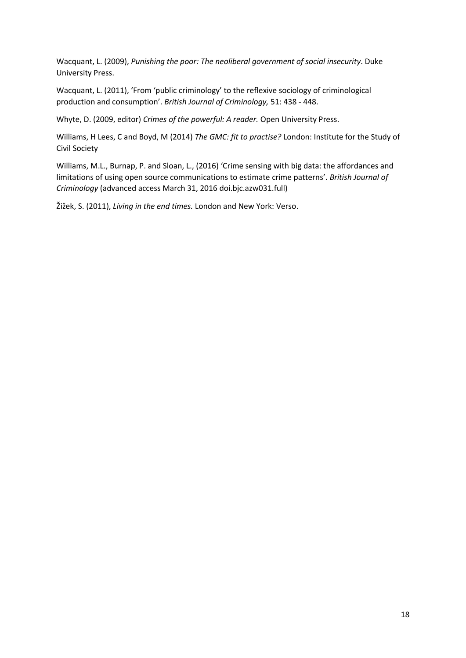Wacquant, L. (2009), *Punishing the poor: The neoliberal government of social insecurity*. Duke University Press.

Wacquant, L. (2011), 'From 'public criminology' to the reflexive sociology of criminological production and consumption'. *British Journal of Criminology,* 51: 438 - 448.

Whyte, D. (2009, editor) *Crimes of the powerful: A reader.* Open University Press.

Williams, H Lees, C and Boyd, M (2014) *The GMC: fit to practise?* London: Institute for the Study of Civil Society

Williams, M.L., Burnap, P. and Sloan, L., (2016) 'Crime sensing with big data: the affordances and limitations of using open source communications to estimate crime patterns'. *British Journal of Criminology* (advanced access March 31, 2016 doi.bjc.azw031.full)

Žižek, S. (2011), *Living in the end times.* London and New York: Verso.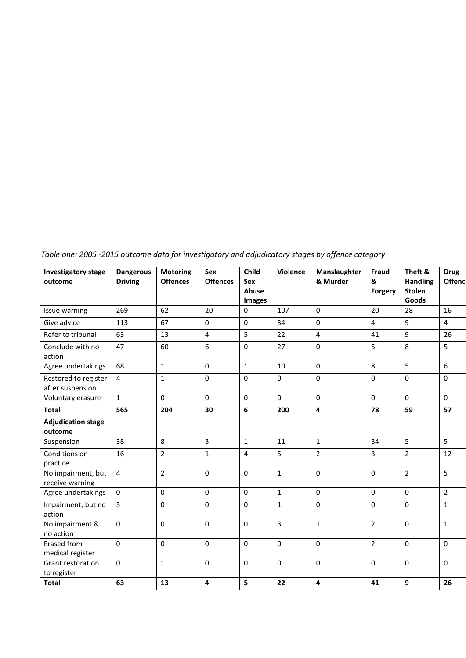*Table one: 2005 -2015 outcome data for investigatory and adjudicatory stages by offence category*

| <b>Investigatory stage</b><br>outcome    | <b>Dangerous</b><br><b>Driving</b> | <b>Motoring</b><br><b>Offences</b> | <b>Sex</b><br><b>Offences</b> | Child<br>Sex<br>Abuse<br><b>Images</b> | Violence        | Manslaughter<br>& Murder | Fraud<br>&<br>Forgery | Theft &<br><b>Handling</b><br><b>Stolen</b><br>Goods | <b>Drug</b><br>Offenc |
|------------------------------------------|------------------------------------|------------------------------------|-------------------------------|----------------------------------------|-----------------|--------------------------|-----------------------|------------------------------------------------------|-----------------------|
| Issue warning                            | 269                                | 62                                 | 20                            | $\mathbf{0}$                           | 107             | $\mathbf{0}$             | 20                    | 28                                                   | 16                    |
| Give advice                              | 113                                | 67                                 | $\mathbf 0$                   | $\pmb{0}$                              | 34              | $\mathbf 0$              | 4                     | $\boldsymbol{9}$                                     | $\overline{4}$        |
| Refer to tribunal                        | 63                                 | 13                                 | $\overline{4}$                | 5                                      | 22              | $\overline{4}$           | 41                    | $\boldsymbol{9}$                                     | 26                    |
| Conclude with no<br>action               | 47                                 | 60                                 | 6                             | $\mathbf 0$                            | $\overline{27}$ | $\overline{0}$           | 5                     | $\,8\,$                                              | 5                     |
| Agree undertakings                       | 68                                 | $\mathbf 1$                        | $\boldsymbol{0}$              | $\mathbf{1}$                           | 10              | 0                        | 8                     | 5                                                    | 6                     |
| Restored to register<br>after suspension | 4                                  | $\mathbf{1}$                       | $\boldsymbol{0}$              | $\mathbf 0$                            | $\mathbf 0$     | $\mathbf 0$              | 0                     | $\pmb{0}$                                            | $\pmb{0}$             |
| Voluntary erasure                        | $\mathbf{1}$                       | $\mathbf 0$                        | $\mathbf 0$                   | $\mathbf 0$                            | $\mathbf 0$     | $\mathbf{0}$             | $\mathbf 0$           | $\mathbf 0$                                          | $\mathbf 0$           |
| <b>Total</b>                             | 565                                | 204                                | 30                            | 6                                      | 200             | 4                        | 78                    | 59                                                   | 57                    |
| <b>Adjudication stage</b><br>outcome     |                                    |                                    |                               |                                        |                 |                          |                       |                                                      |                       |
| Suspension                               | 38                                 | 8                                  | $\overline{3}$                | $\mathbf 1$                            | 11              | $\mathbf{1}$             | 34                    | 5                                                    | 5                     |
| Conditions on<br>practice                | 16                                 | $\overline{2}$                     | $\mathbf{1}$                  | $\overline{\mathbf{4}}$                | 5               | $\overline{2}$           | 3                     | $\overline{2}$                                       | 12                    |
| No impairment, but<br>receive warning    | $\overline{4}$                     | $\overline{2}$                     | 0                             | $\mathbf 0$                            | $\mathbf{1}$    | $\mathbf 0$              | 0                     | $\overline{2}$                                       | 5                     |
| Agree undertakings                       | $\boldsymbol{0}$                   | $\mathbf 0$                        | $\mathbf 0$                   | $\pmb{0}$                              | $\mathbf{1}$    | 0                        | 0                     | $\mathbf 0$                                          | $\overline{2}$        |
| Impairment, but no<br>action             | 5                                  | $\mathbf 0$                        | $\boldsymbol{0}$              | $\pmb{0}$                              | $\mathbf{1}$    | $\mathbf 0$              | 0                     | $\pmb{0}$                                            | $\mathbf{1}$          |
| No impairment &<br>no action             | $\mathbf 0$                        | $\mathbf 0$                        | $\mathbf 0$                   | $\mathbf 0$                            | $\overline{3}$  | $\mathbf{1}$             | $\overline{2}$        | $\mathbf 0$                                          | $\mathbf{1}$          |
| Erased from<br>medical register          | $\mathbf{0}$                       | $\mathbf 0$                        | $\mathbf 0$                   | $\mathbf 0$                            | 0               | 0                        | $\overline{2}$        | $\mathbf 0$                                          | 0                     |
| Grant restoration<br>to register         | $\mathbf 0$                        | $\mathbf{1}$                       | $\mathbf 0$                   | $\mathbf 0$                            | $\mathbf 0$     | $\mathbf 0$              | 0                     | $\mathbf 0$                                          | $\pmb{0}$             |
| <b>Total</b>                             | 63                                 | 13                                 | 4                             | 5                                      | 22              | 4                        | 41                    | 9                                                    | 26                    |